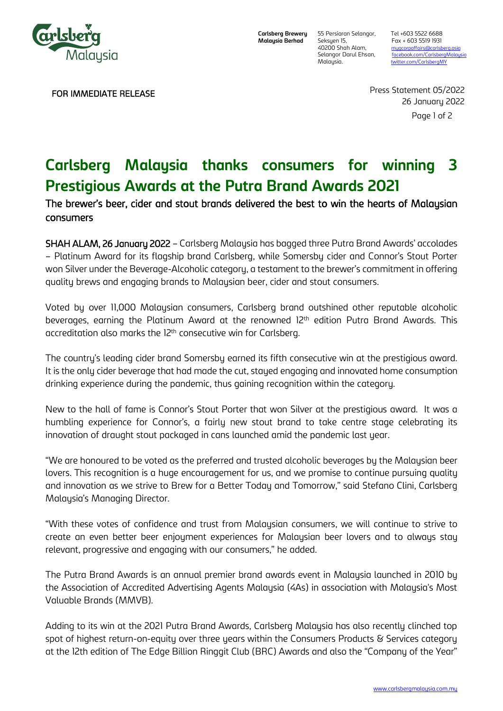

FOR IMMEDIATE RELEASE

**Carlsberg Brewery Malaysia Berhad**

Seksyen 15, Fax + 603 5519 1931<br>40200 Shah Alam, muacorpaffairs@carlsb

55 Persiaran Selangor, Tel +603 5522 6688 40200 Shah Alam, [mygcorpaffairs@carlsberg.asia](mailto:mygcorpaffairs@carlsberg.asia)<br>1991 Selangor Darul Ehsan, facebook.com/CarlsbergMalay Selangor Darul Ehsan, facebook.com/CarlsbergMalays<br>Malaysia. twitter.com/CarlsbergMY [twitter.com/CarlsbergMY](about:blank)

> Page 1 of 2 Press Statement 05/2022 26 January 2022

# **Carlsberg Malaysia thanks consumers for winning 3 Prestigious Awards at the Putra Brand Awards 2021**

## The brewer's beer, cider and stout brands delivered the best to win the hearts of Malaysian consumers

SHAH ALAM, 26 January 2022 – Carlsberg Malaysia has bagged three Putra Brand Awards' accolades – Platinum Award for its flagship brand Carlsberg, while Somersby cider and Connor's Stout Porter won Silver under the Beverage-Alcoholic category, a testament to the brewer's commitment in offering quality brews and engaging brands to Malaysian beer, cider and stout consumers.

Voted by over 11,000 Malaysian consumers, Carlsberg brand outshined other reputable alcoholic beverages, earning the Platinum Award at the renowned  $12<sup>th</sup>$  edition Putra Brand Awards. This accreditation also marks the 12<sup>th</sup> consecutive win for Carlsberg.

The country's leading cider brand Somersby earned its fifth consecutive win at the prestigious award. It is the only cider beverage that had made the cut, stayed engaging and innovated home consumption drinking experience during the pandemic, thus gaining recognition within the category.

New to the hall of fame is Connor's Stout Porter that won Silver at the prestigious award. It was a humbling experience for Connor's, a fairly new stout brand to take centre stage celebrating its innovation of draught stout packaged in cans launched amid the pandemic last year.

"We are honoured to be voted as the preferred and trusted alcoholic beverages by the Malaysian beer lovers. This recognition is a huge encouragement for us, and we promise to continue pursuing quality and innovation as we strive to Brew for a Better Today and Tomorrow," said Stefano Clini, Carlsberg Malaysia's Managing Director.

"With these votes of confidence and trust from Malaysian consumers, we will continue to strive to create an even better beer enjoyment experiences for Malaysian beer lovers and to always stay relevant, progressive and engaging with our consumers," he added.

The Putra Brand Awards is an annual premier brand awards event in Malaysia launched in 2010 by the Association of Accredited Advertising Agents Malaysia (4As) in association with Malaysia's Most Valuable Brands (MMVB).

Adding to its win at the 2021 Putra Brand Awards, Carlsberg Malaysia has also recently clinched top spot of highest return-on-equity over three years within the Consumers Products & Services category at the 12th edition of The Edge Billion Ringgit Club (BRC) Awards and also the "Company of the Year"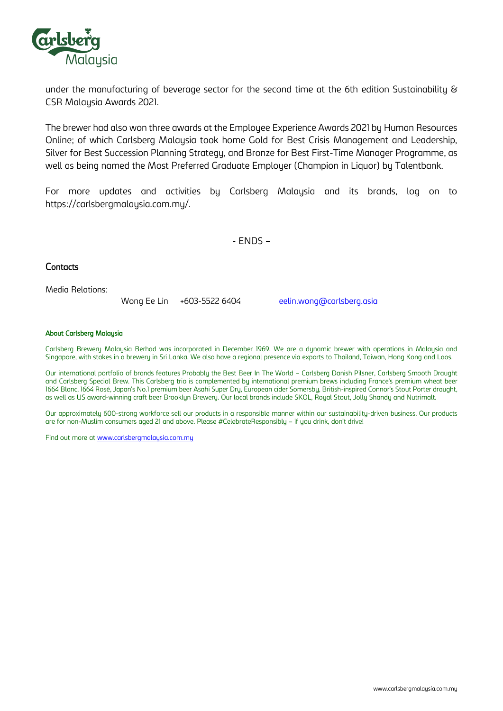

under the manufacturing of beverage sector for the second time at the 6th edition Sustainability & CSR Malaysia Awards 2021.

The brewer had also won three awards at the Employee Experience Awards 2021 by Human Resources Online; of which Carlsberg Malaysia took home Gold for Best Crisis Management and Leadership, Silver for Best Succession Planning Strategy, and Bronze for Best First-Time Manager Programme, as well as being named the Most Preferred Graduate Employer (Champion in Liquor) by Talentbank.

For more updates and activities by Carlsberg Malaysia and its brands, log on to https://carlsbergmalaysia.com.my/.

- ENDS –

## **Contacts**

Media Relations:

Wong Ee Lin +603-5522 6404 [eelin.wong@carlsberg.asia](mailto:eelin.wong@carlsberg.asia)

### About Carlsberg Malaysia

Carlsberg Brewery Malaysia Berhad was incorporated in December 1969. We are a dynamic brewer with operations in Malaysia and Singapore, with stakes in a brewery in Sri Lanka. We also have a regional presence via exports to Thailand, Taiwan, Hong Kong and Laos.

Our international portfolio of brands features Probably the Best Beer In The World – Carlsberg Danish Pilsner, Carlsberg Smooth Draught and Carlsberg Special Brew. This Carlsberg trio is complemented by international premium brews including France's premium wheat beer 1664 Blanc, 1664 Rosé, Japan's No.1 premium beer Asahi Super Dry, European cider Somersby, British-inspired Connor's Stout Porter draught, as well as US award-winning craft beer Brooklyn Brewery. Our local brands include SKOL, Royal Stout, Jolly Shandy and Nutrimalt.

Our approximately 600-strong workforce sell our products in a responsible manner within our sustainability-driven business. Our products are for non-Muslim consumers aged 21 and above. Please #CelebrateResponsibly – if you drink, don't drive!

Find out more at [www.carlsbergmalaysia.com.my](http://www.carlsbergmalaysia.com.my/)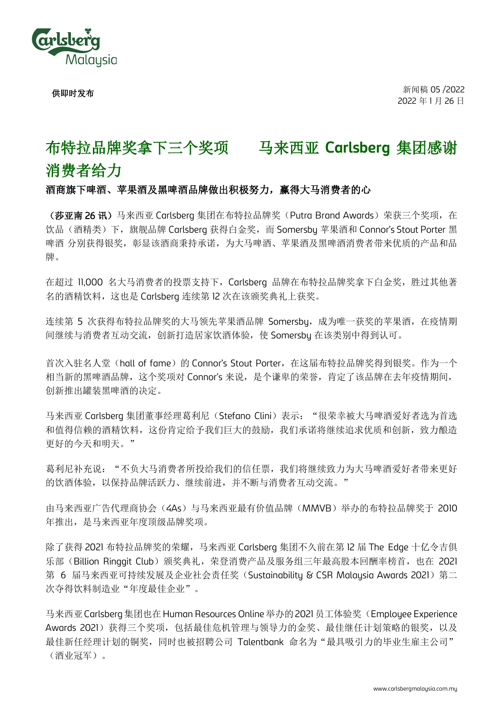

供即时发布

# 布特拉品牌奖拿下三个奖项 马来西亚 **Carlsberg** 集团感谢

# 消费者给力

## 酒商旗下啤酒、苹果酒及黑啤酒品牌做出积极努力,赢得大马消费者的心

(莎亚南 26 讯)马来西亚 Carlsberg 集团在布特拉品牌奖(Putra Brand Awards)荣获三个奖项,在 饮品(酒精类)下,旗舰品牌 Carlsberg 获得白金奖,而 Somersby 苹果酒和 Connor's Stout Porter 黑 啤酒 分别获得银奖,彰显该酒商秉持承诺,为大马啤酒、苹果酒及黑啤酒消费者带来优质的产品和品 牌。

在超过 11,000 名大马消费者的投票支持下, Carlsbera 品牌在布特拉品牌奖拿下白金奖, 胜过其他著 名的酒精饮料,这也是 Carlsberg 连续第 12 次在该颁奖典礼上获奖。

连续第 5 次获得布特拉品牌奖的大马领先苹果酒品牌 Somersbu, 成为唯一获奖的苹果酒, 在疫情期 间继续与消费者互动交流,创新打造居家饮酒体验,使 Somersby 在该类别中得到认可。

首次入驻名人堂(hall of fame)的 Connor's Stout Porter, 在这届布特拉品牌奖得到银奖。作为一个 相当新的黑啤酒品牌,这个奖项对 Connor's 来说,是个谦卑的荣誉,肯定了该品牌在去年疫情期间, 创新推出罐装黑啤酒的决定。

马来西亚 Carlsbera 集团董事经理葛利尼(Stefano Clini)表示: "很荣幸被大马啤酒爱好者选为首选 和值得信赖的酒精饮料,这份肯定给予我们巨大的鼓励,我们承诺将继续追求优质和创新,致力酿造 更好的今天和明天。"

葛利尼补充说: "不负大马消费者所投给我们的信任票,我们将继续致力为大马啤酒爱好者带来更好 的饮酒体验,以保持品牌活跃力、继续前进,并不断与消费者互动交流。"

由马来西亚广告代理商协会(4As)与马来西亚最有价值品牌(MMVB)举办的布特拉品牌奖于 2010 年推出,是马来西亚年度顶级品牌奖项。

除了获得 2021 布特拉品牌奖的荣耀,马来西亚 Carlsberg 集团不久前在第 12 届 The Edge 十亿令吉俱 乐部(Billion Ringgit Club)颁奖典礼,荣登消费产品及服务组三年最高股本回酬率榜首,也在 2021 第 6 届马来西亚可持续发展及企业社会责任奖(Sustainability & CSR Malaysia Awards 2021) 第二 次夺得饮料制造业"年度最佳企业"。

马来西亚 Carlsberg 集团也在 Human Resources Online 举办的 2021 员工体验奖(Employee Experience Awards 2021)获得三个奖项,包括最佳危机管理与领导力的金奖、最佳继任计划策略的银奖,以及 最佳新任经理计划的铜奖,同时也被招聘公司 Talentbank 命名为"最具吸引力的毕业生雇主公司" (酒业冠军)。